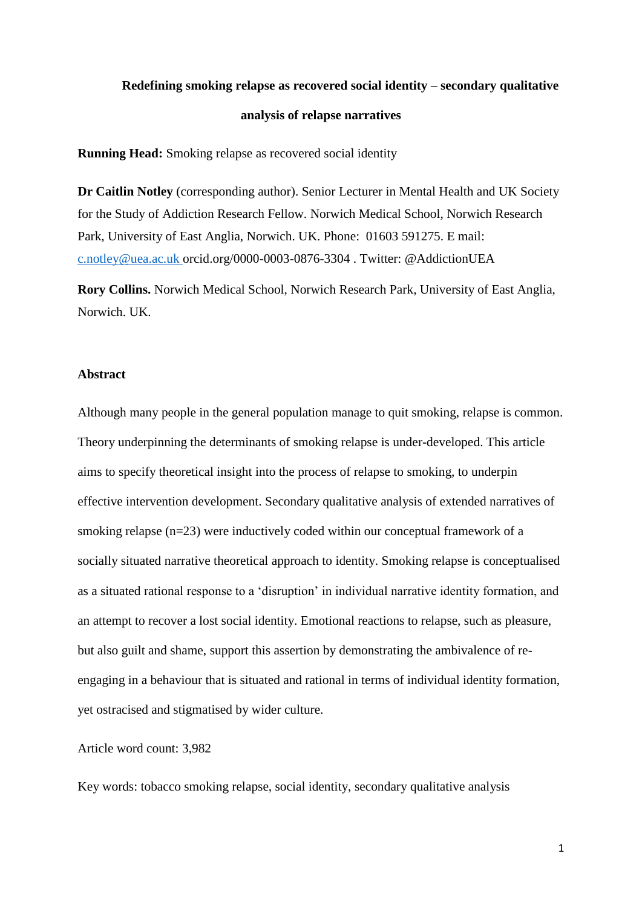# **Redefining smoking relapse as recovered social identity – secondary qualitative analysis of relapse narratives**

**Running Head:** Smoking relapse as recovered social identity

**Dr Caitlin Notley** (corresponding author). Senior Lecturer in Mental Health and UK Society for the Study of Addiction Research Fellow. Norwich Medical School, Norwich Research Park, University of East Anglia, Norwich. UK. Phone: 01603 591275. E mail: [c.notley@uea.ac.uk](mailto:c.notley@uea.ac.uk) orcid.org/0000-0003-0876-3304 . Twitter: @AddictionUEA

**Rory Collins.** Norwich Medical School, Norwich Research Park, University of East Anglia, Norwich. UK.

#### **Abstract**

Although many people in the general population manage to quit smoking, relapse is common. Theory underpinning the determinants of smoking relapse is under-developed. This article aims to specify theoretical insight into the process of relapse to smoking, to underpin effective intervention development. Secondary qualitative analysis of extended narratives of smoking relapse (n=23) were inductively coded within our conceptual framework of a socially situated narrative theoretical approach to identity. Smoking relapse is conceptualised as a situated rational response to a 'disruption' in individual narrative identity formation, and an attempt to recover a lost social identity. Emotional reactions to relapse, such as pleasure, but also guilt and shame, support this assertion by demonstrating the ambivalence of reengaging in a behaviour that is situated and rational in terms of individual identity formation, yet ostracised and stigmatised by wider culture.

Article word count: 3,982

Key words: tobacco smoking relapse, social identity, secondary qualitative analysis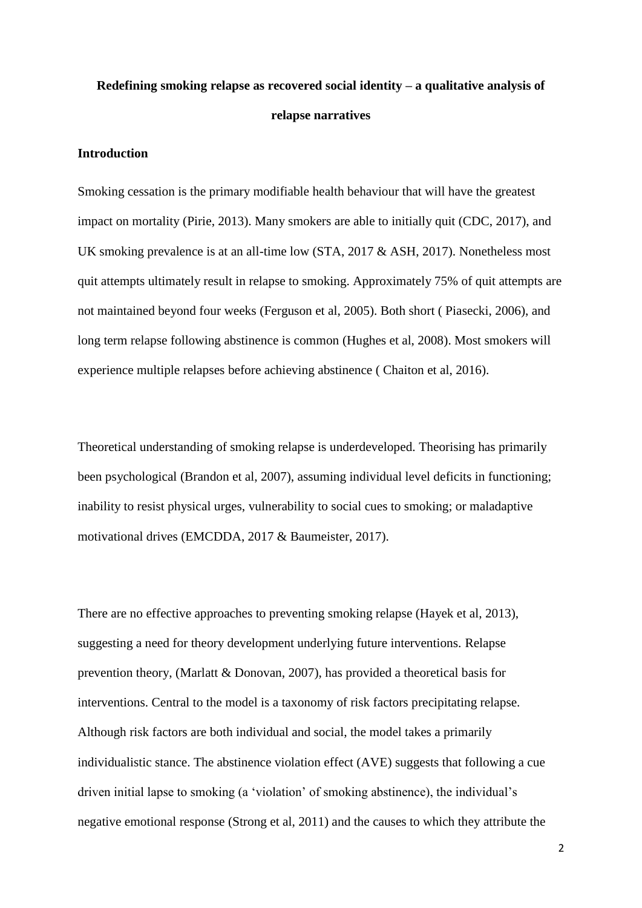# **Redefining smoking relapse as recovered social identity – a qualitative analysis of relapse narratives**

# **Introduction**

Smoking cessation is the primary modifiable health behaviour that will have the greatest impact on mortality (Pirie, 2013). Many smokers are able to initially quit (CDC, 2017), and UK smoking prevalence is at an all-time low (STA, 2017 & ASH, 2017). Nonetheless most quit attempts ultimately result in relapse to smoking. Approximately 75% of quit attempts are not maintained beyond four weeks (Ferguson et al, 2005). Both short ( Piasecki, 2006), and long term relapse following abstinence is common (Hughes et al, 2008). Most smokers will experience multiple relapses before achieving abstinence ( Chaiton et al, 2016).

Theoretical understanding of smoking relapse is underdeveloped. Theorising has primarily been psychological (Brandon et al, 2007), assuming individual level deficits in functioning; inability to resist physical urges, vulnerability to social cues to smoking; or maladaptive motivational drives (EMCDDA, 2017 & Baumeister, 2017).

There are no effective approaches to preventing smoking relapse (Hayek et al, 2013), suggesting a need for theory development underlying future interventions. Relapse prevention theory, (Marlatt & Donovan, 2007), has provided a theoretical basis for interventions. Central to the model is a taxonomy of risk factors precipitating relapse. Although risk factors are both individual and social, the model takes a primarily individualistic stance. The abstinence violation effect (AVE) suggests that following a cue driven initial lapse to smoking (a 'violation' of smoking abstinence), the individual's negative emotional response (Strong et al, 2011) and the causes to which they attribute the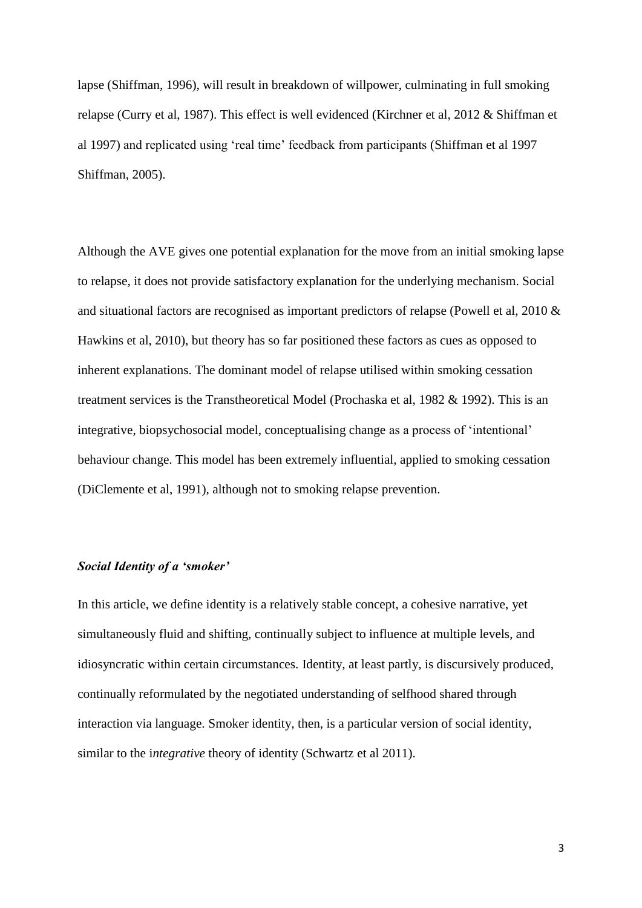lapse (Shiffman, 1996), will result in breakdown of willpower, culminating in full smoking relapse (Curry et al, 1987). This effect is well evidenced (Kirchner et al, 2012 & Shiffman et al 1997) and replicated using 'real time' feedback from participants (Shiffman et al 1997 Shiffman, 2005).

Although the AVE gives one potential explanation for the move from an initial smoking lapse to relapse, it does not provide satisfactory explanation for the underlying mechanism. Social and situational factors are recognised as important predictors of relapse (Powell et al, 2010 & Hawkins et al, 2010), but theory has so far positioned these factors as cues as opposed to inherent explanations. The dominant model of relapse utilised within smoking cessation treatment services is the Transtheoretical Model (Prochaska et al, 1982 & 1992). This is an integrative, biopsychosocial model, conceptualising change as a process of 'intentional' behaviour change. This model has been extremely influential, applied to smoking cessation (DiClemente et al, 1991), although not to smoking relapse prevention.

## *Social Identity of a 'smoker'*

In this article, we define identity is a relatively stable concept, a cohesive narrative, yet simultaneously fluid and shifting, continually subject to influence at multiple levels, and idiosyncratic within certain circumstances. Identity, at least partly, is discursively produced, continually reformulated by the negotiated understanding of selfhood shared through interaction via language. Smoker identity, then, is a particular version of social identity, similar to the i*ntegrative* theory of identity [\(Schwartz](https://www.amazon.com/s/ref=dp_byline_sr_book_1?ie=UTF8&text=Seth+J.+Schwartz&search-alias=books&field-author=Seth+J.+Schwartz&sort=relevancerank) et al 2011).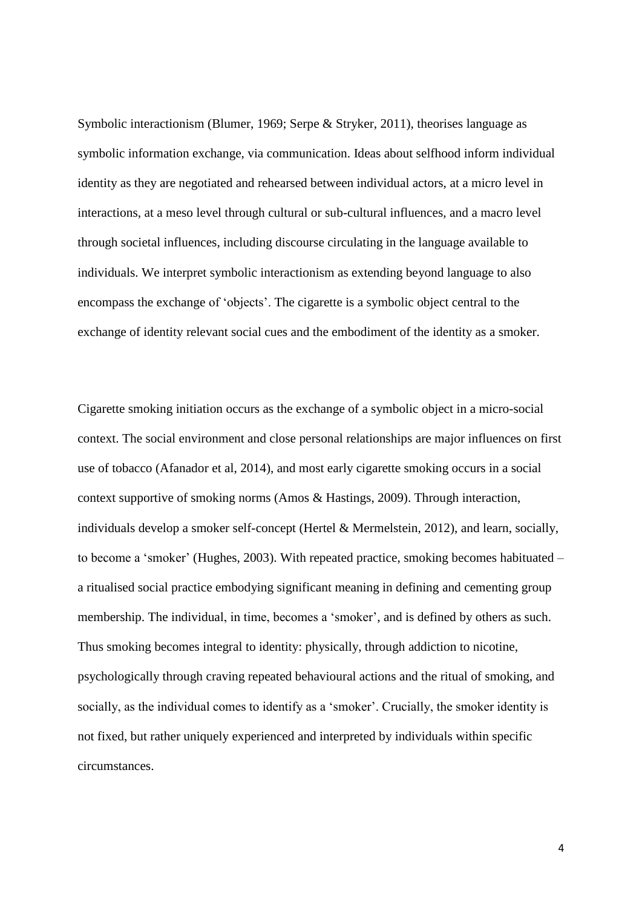Symbolic interactionism (Blumer, 1969; Serpe & Stryker, 2011), theorises language as symbolic information exchange, via communication. Ideas about selfhood inform individual identity as they are negotiated and rehearsed between individual actors, at a micro level in interactions, at a meso level through cultural or sub-cultural influences, and a macro level through societal influences, including discourse circulating in the language available to individuals. We interpret symbolic interactionism as extending beyond language to also encompass the exchange of 'objects'. The cigarette is a symbolic object central to the exchange of identity relevant social cues and the embodiment of the identity as a smoker.

Cigarette smoking initiation occurs as the exchange of a symbolic object in a micro-social context. The social environment and close personal relationships are major influences on first use of tobacco (Afanador et al, 2014), and most early cigarette smoking occurs in a social context supportive of smoking norms (Amos & Hastings, 2009). Through interaction, individuals develop a smoker self-concept (Hertel & Mermelstein, 2012), and learn, socially, to become a 'smoker' (Hughes, 2003). With repeated practice, smoking becomes habituated – a ritualised social practice embodying significant meaning in defining and cementing group membership. The individual, in time, becomes a 'smoker', and is defined by others as such. Thus smoking becomes integral to identity: physically, through addiction to nicotine, psychologically through craving repeated behavioural actions and the ritual of smoking, and socially, as the individual comes to identify as a 'smoker'. Crucially, the smoker identity is not fixed, but rather uniquely experienced and interpreted by individuals within specific circumstances.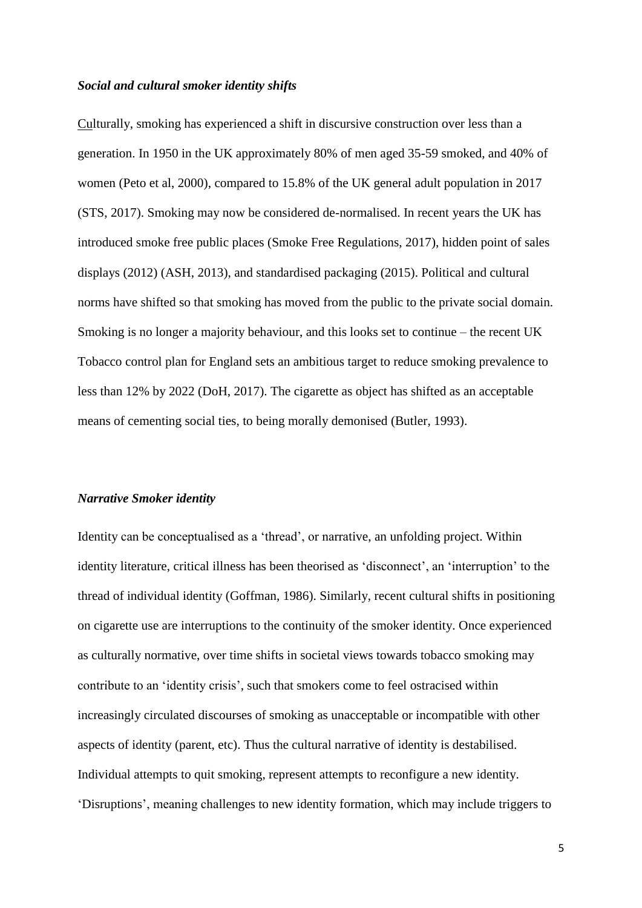#### *Social and cultural smoker identity shifts*

Culturally, smoking has experienced a shift in discursive construction over less than a generation. In 1950 in the UK approximately 80% of men aged 35-59 smoked, and 40% of women (Peto et al, 2000), compared to 15.8% of the UK general adult population in 2017 (STS, 2017). Smoking may now be considered de-normalised. In recent years the UK has introduced smoke free public places (Smoke Free Regulations, 2017), hidden point of sales displays (2012) (ASH, 2013), and standardised packaging (2015). Political and cultural norms have shifted so that smoking has moved from the public to the private social domain. Smoking is no longer a majority behaviour, and this looks set to continue – the recent UK Tobacco control plan for England sets an ambitious target to reduce smoking prevalence to less than 12% by 2022 (DoH, 2017). The cigarette as object has shifted as an acceptable means of cementing social ties, to being morally demonised (Butler, 1993).

#### *Narrative Smoker identity*

Identity can be conceptualised as a 'thread', or narrative, an unfolding project. Within identity literature, critical illness has been theorised as 'disconnect', an 'interruption' to the thread of individual identity (Goffman, 1986). Similarly, recent cultural shifts in positioning on cigarette use are interruptions to the continuity of the smoker identity. Once experienced as culturally normative, over time shifts in societal views towards tobacco smoking may contribute to an 'identity crisis', such that smokers come to feel ostracised within increasingly circulated discourses of smoking as unacceptable or incompatible with other aspects of identity (parent, etc). Thus the cultural narrative of identity is destabilised. Individual attempts to quit smoking, represent attempts to reconfigure a new identity. 'Disruptions', meaning challenges to new identity formation, which may include triggers to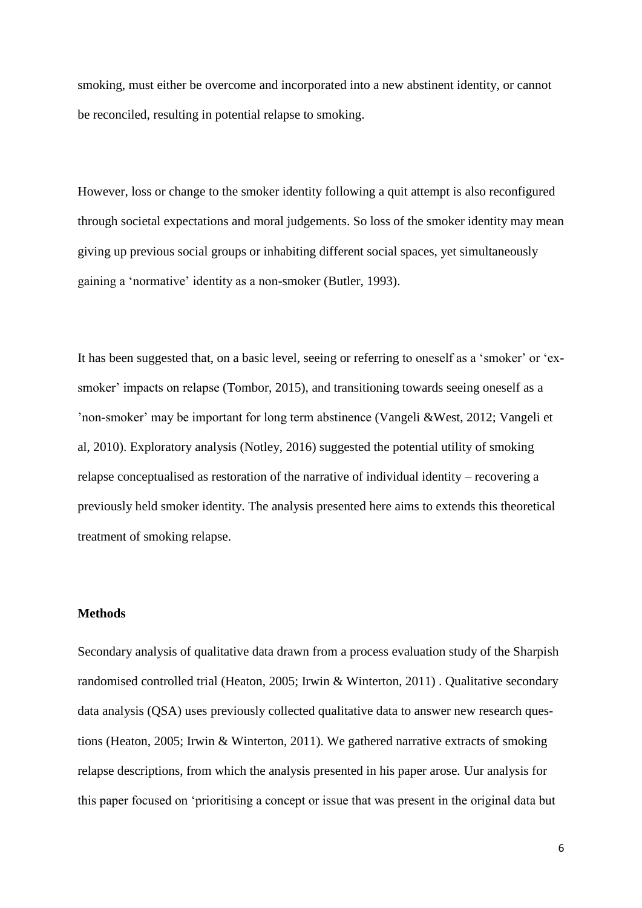smoking, must either be overcome and incorporated into a new abstinent identity, or cannot be reconciled, resulting in potential relapse to smoking.

However, loss or change to the smoker identity following a quit attempt is also reconfigured through societal expectations and moral judgements. So loss of the smoker identity may mean giving up previous social groups or inhabiting different social spaces, yet simultaneously gaining a 'normative' identity as a non-smoker (Butler, 1993).

It has been suggested that, on a basic level, seeing or referring to oneself as a 'smoker' or 'exsmoker' impacts on relapse (Tombor, 2015), and transitioning towards seeing oneself as a 'non-smoker' may be important for long term abstinence (Vangeli &West, 2012; Vangeli et al, 2010). Exploratory analysis (Notley, 2016) suggested the potential utility of smoking relapse conceptualised as restoration of the narrative of individual identity – recovering a previously held smoker identity. The analysis presented here aims to extends this theoretical treatment of smoking relapse.

# **Methods**

Secondary analysis of qualitative data drawn from a process evaluation study of the Sharpish randomised controlled trial (Heaton, 2005; Irwin & Winterton, 2011) . Qualitative secondary data analysis (QSA) uses previously collected qualitative data to answer new research questions (Heaton, 2005; Irwin & Winterton, 2011). We gathered narrative extracts of smoking relapse descriptions, from which the analysis presented in his paper arose. Uur analysis for this paper focused on 'prioritising a concept or issue that was present in the original data but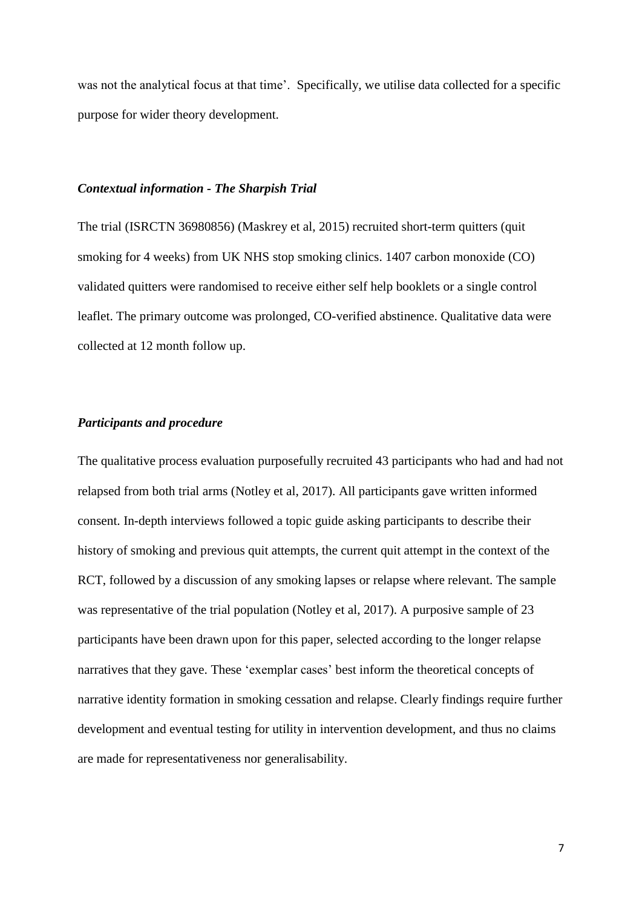was not the analytical focus at that time'. Specifically, we utilise data collected for a specific purpose for wider theory development.

## *Contextual information - The Sharpish Trial*

The trial (ISRCTN 36980856) (Maskrey et al, 2015) recruited short-term quitters (quit smoking for 4 weeks) from UK NHS stop smoking clinics. 1407 carbon monoxide (CO) validated quitters were randomised to receive either self help booklets or a single control leaflet. The primary outcome was prolonged, CO-verified abstinence. Qualitative data were collected at 12 month follow up.

## *Participants and procedure*

The qualitative process evaluation purposefully recruited 43 participants who had and had not relapsed from both trial arms (Notley et al, 2017). All participants gave written informed consent. In-depth interviews followed a topic guide asking participants to describe their history of smoking and previous quit attempts, the current quit attempt in the context of the RCT, followed by a discussion of any smoking lapses or relapse where relevant. The sample was representative of the trial population (Notley et al, 2017). A purposive sample of 23 participants have been drawn upon for this paper, selected according to the longer relapse narratives that they gave. These 'exemplar cases' best inform the theoretical concepts of narrative identity formation in smoking cessation and relapse. Clearly findings require further development and eventual testing for utility in intervention development, and thus no claims are made for representativeness nor generalisability.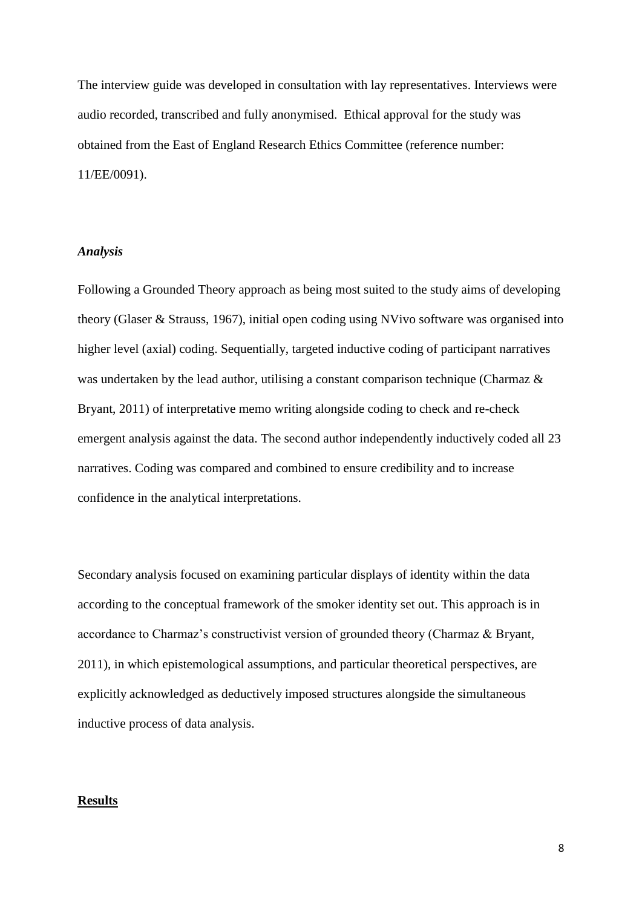The interview guide was developed in consultation with lay representatives. Interviews were audio recorded, transcribed and fully anonymised. Ethical approval for the study was obtained from the East of England Research Ethics Committee (reference number: 11/EE/0091).

## *Analysis*

Following a Grounded Theory approach as being most suited to the study aims of developing theory (Glaser & Strauss, 1967), initial open coding using NVivo software was organised into higher level (axial) coding. Sequentially, targeted inductive coding of participant narratives was undertaken by the lead author, utilising a constant comparison technique (Charmaz  $\&$ Bryant, 2011) of interpretative memo writing alongside coding to check and re-check emergent analysis against the data. The second author independently inductively coded all 23 narratives. Coding was compared and combined to ensure credibility and to increase confidence in the analytical interpretations.

Secondary analysis focused on examining particular displays of identity within the data according to the conceptual framework of the smoker identity set out. This approach is in accordance to Charmaz's constructivist version of grounded theory (Charmaz & Bryant, 2011), in which epistemological assumptions, and particular theoretical perspectives, are explicitly acknowledged as deductively imposed structures alongside the simultaneous inductive process of data analysis.

#### **Results**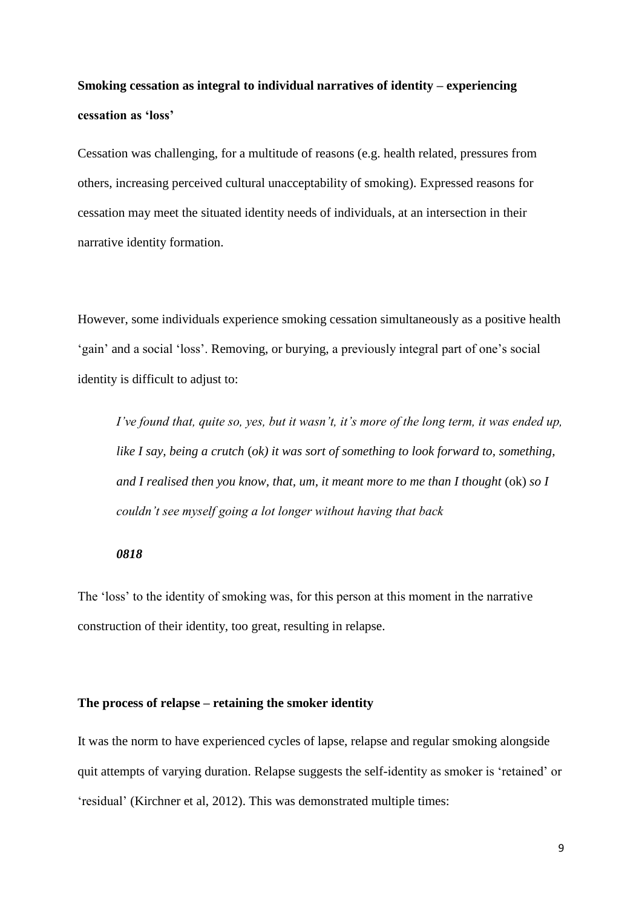# **Smoking cessation as integral to individual narratives of identity – experiencing cessation as 'loss'**

Cessation was challenging, for a multitude of reasons (e.g. health related, pressures from others, increasing perceived cultural unacceptability of smoking). Expressed reasons for cessation may meet the situated identity needs of individuals, at an intersection in their narrative identity formation.

However, some individuals experience smoking cessation simultaneously as a positive health 'gain' and a social 'loss'. Removing, or burying, a previously integral part of one's social identity is difficult to adjust to:

*I've found that, quite so, yes, but it wasn't, it's more of the long term, it was ended up, like I say, being a crutch* (*ok) it was sort of something to look forward to, something, and I realised then you know, that, um, it meant more to me than I thought* (ok) *so I couldn't see myself going a lot longer without having that back*

## *0818*

The 'loss' to the identity of smoking was, for this person at this moment in the narrative construction of their identity, too great, resulting in relapse.

## **The process of relapse – retaining the smoker identity**

It was the norm to have experienced cycles of lapse, relapse and regular smoking alongside quit attempts of varying duration. Relapse suggests the self-identity as smoker is 'retained' or 'residual' (Kirchner et al, 2012). This was demonstrated multiple times: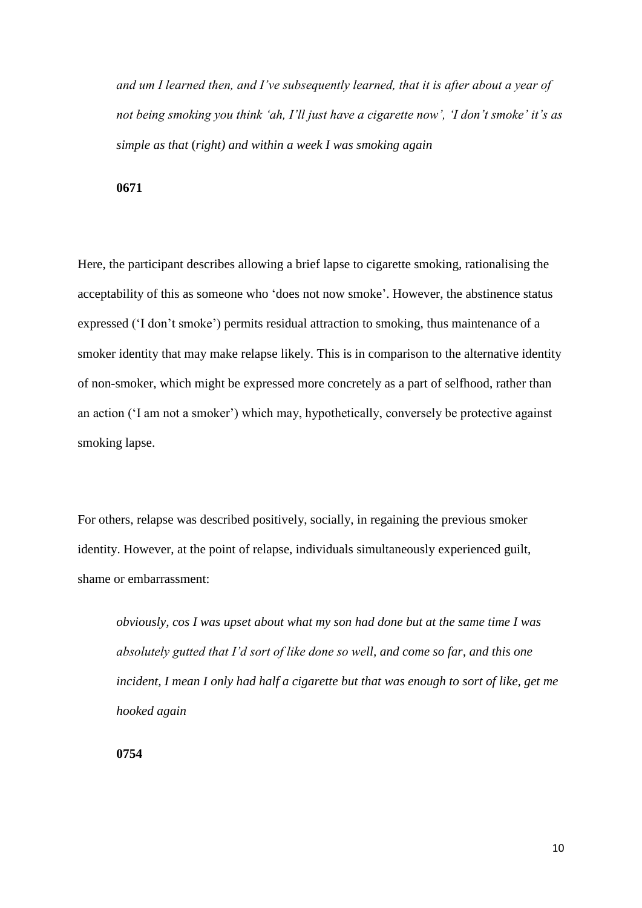*and um I learned then, and I've subsequently learned, that it is after about a year of not being smoking you think 'ah, I'll just have a cigarette now', 'I don't smoke' it's as simple as that* (*right) and within a week I was smoking again*

**0671**

Here, the participant describes allowing a brief lapse to cigarette smoking, rationalising the acceptability of this as someone who 'does not now smoke'. However, the abstinence status expressed ('I don't smoke') permits residual attraction to smoking, thus maintenance of a smoker identity that may make relapse likely. This is in comparison to the alternative identity of non-smoker, which might be expressed more concretely as a part of selfhood, rather than an action ('I am not a smoker') which may, hypothetically, conversely be protective against smoking lapse.

For others, relapse was described positively, socially, in regaining the previous smoker identity. However, at the point of relapse, individuals simultaneously experienced guilt, shame or embarrassment:

*obviously, cos I was upset about what my son had done but at the same time I was absolutely gutted that I'd sort of like done so well, and come so far, and this one incident, I mean I only had half a cigarette but that was enough to sort of like, get me hooked again* 

**0754**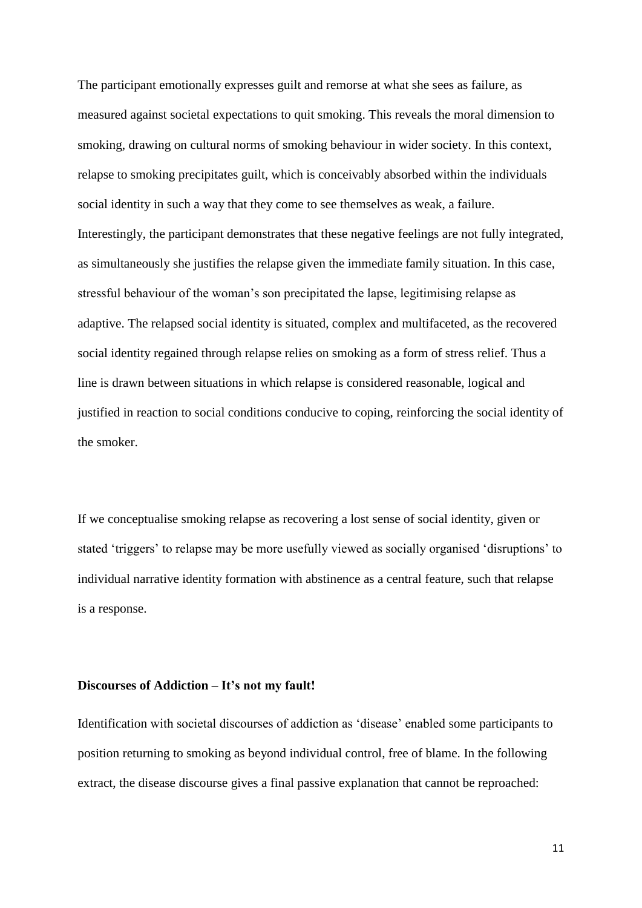The participant emotionally expresses guilt and remorse at what she sees as failure, as measured against societal expectations to quit smoking. This reveals the moral dimension to smoking, drawing on cultural norms of smoking behaviour in wider society. In this context, relapse to smoking precipitates guilt, which is conceivably absorbed within the individuals social identity in such a way that they come to see themselves as weak, a failure. Interestingly, the participant demonstrates that these negative feelings are not fully integrated, as simultaneously she justifies the relapse given the immediate family situation. In this case, stressful behaviour of the woman's son precipitated the lapse, legitimising relapse as adaptive. The relapsed social identity is situated, complex and multifaceted, as the recovered social identity regained through relapse relies on smoking as a form of stress relief. Thus a line is drawn between situations in which relapse is considered reasonable, logical and justified in reaction to social conditions conducive to coping, reinforcing the social identity of the smoker.

If we conceptualise smoking relapse as recovering a lost sense of social identity, given or stated 'triggers' to relapse may be more usefully viewed as socially organised 'disruptions' to individual narrative identity formation with abstinence as a central feature, such that relapse is a response.

#### **Discourses of Addiction – It's not my fault!**

Identification with societal discourses of addiction as 'disease' enabled some participants to position returning to smoking as beyond individual control, free of blame. In the following extract, the disease discourse gives a final passive explanation that cannot be reproached: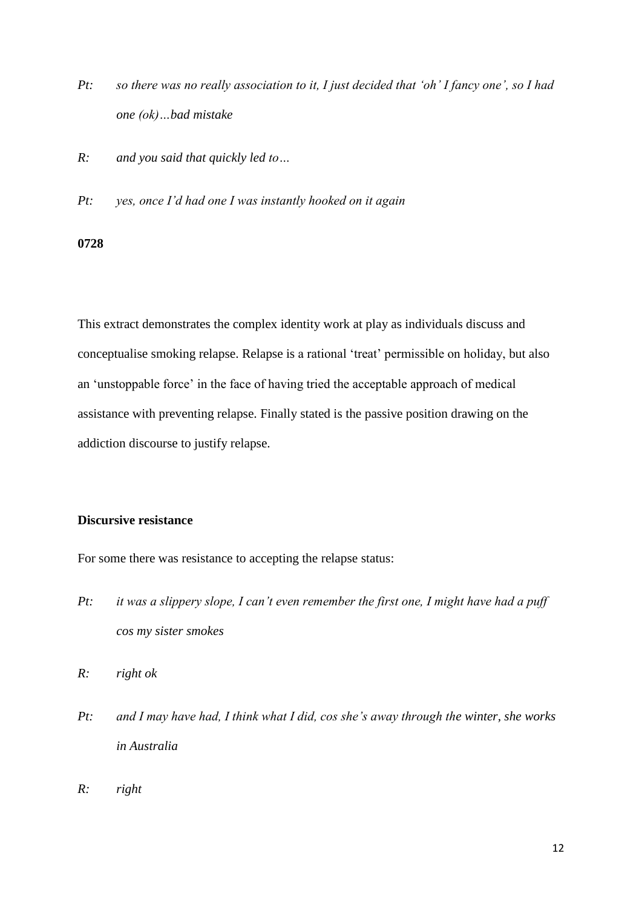- *Pt: so there was no really association to it, I just decided that 'oh' I fancy one', so I had one (ok)…bad mistake*
- *R: and you said that quickly led to…*
- *Pt: yes, once I'd had one I was instantly hooked on it again*

#### **0728**

This extract demonstrates the complex identity work at play as individuals discuss and conceptualise smoking relapse. Relapse is a rational 'treat' permissible on holiday, but also an 'unstoppable force' in the face of having tried the acceptable approach of medical assistance with preventing relapse. Finally stated is the passive position drawing on the addiction discourse to justify relapse.

## **Discursive resistance**

For some there was resistance to accepting the relapse status:

- *Pt: it was a slippery slope, I can't even remember the first one, I might have had a puff cos my sister smokes*
- *R: right ok*
- *Pt: and I may have had, I think what I did, cos she's away through the winter, she works in Australia*
- *R: right*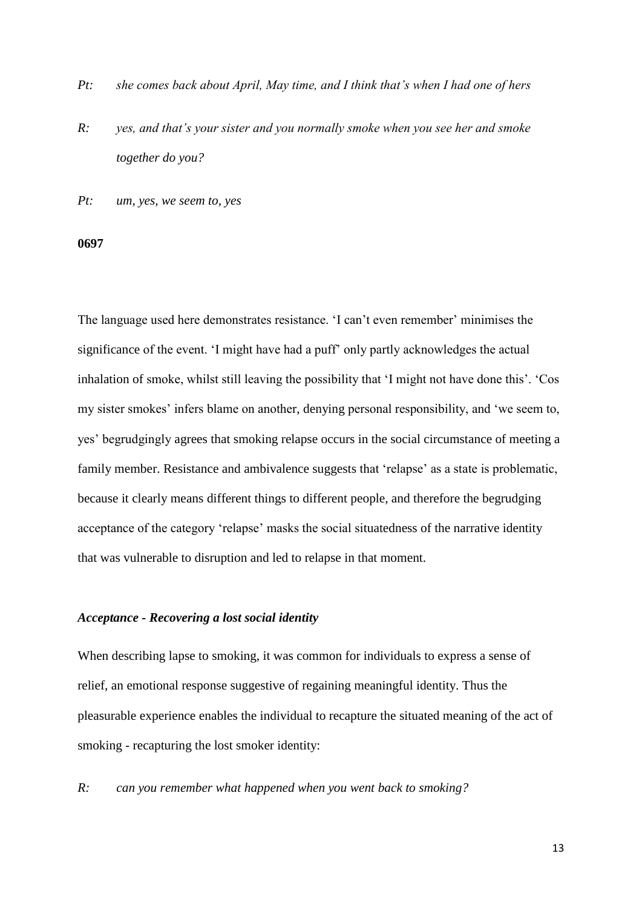- *Pt: she comes back about April, May time, and I think that's when I had one of hers*
- *R: yes, and that's your sister and you normally smoke when you see her and smoke together do you?*

*Pt: um, yes, we seem to, yes*

#### **0697**

The language used here demonstrates resistance. 'I can't even remember' minimises the significance of the event. 'I might have had a puff' only partly acknowledges the actual inhalation of smoke, whilst still leaving the possibility that 'I might not have done this'. 'Cos my sister smokes' infers blame on another, denying personal responsibility, and 'we seem to, yes' begrudgingly agrees that smoking relapse occurs in the social circumstance of meeting a family member. Resistance and ambivalence suggests that 'relapse' as a state is problematic, because it clearly means different things to different people, and therefore the begrudging acceptance of the category 'relapse' masks the social situatedness of the narrative identity that was vulnerable to disruption and led to relapse in that moment.

#### *Acceptance - Recovering a lost social identity*

When describing lapse to smoking, it was common for individuals to express a sense of relief, an emotional response suggestive of regaining meaningful identity. Thus the pleasurable experience enables the individual to recapture the situated meaning of the act of smoking - recapturing the lost smoker identity:

*R: can you remember what happened when you went back to smoking?*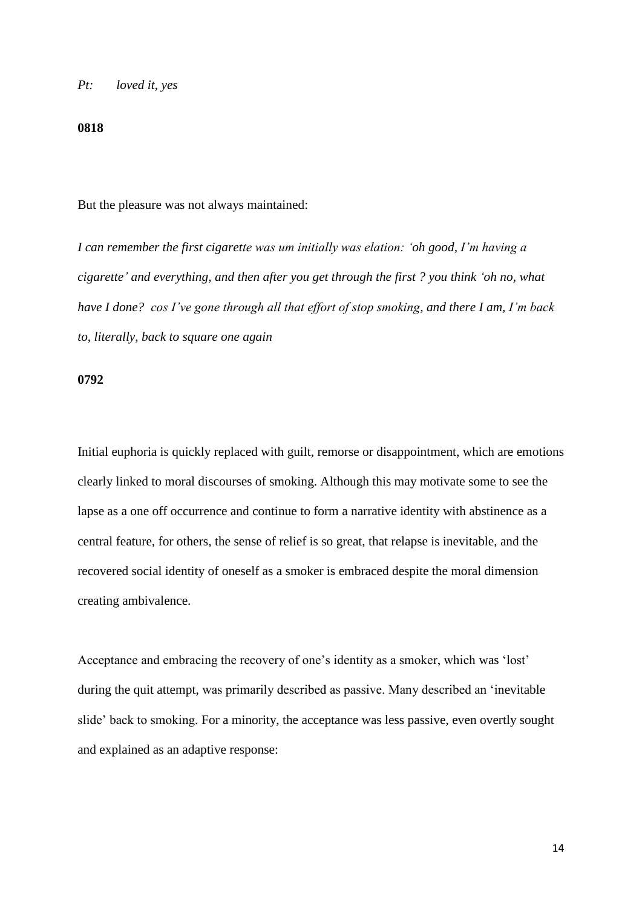#### *Pt: loved it, yes*

#### **0818**

But the pleasure was not always maintained:

*I can remember the first cigarette was um initially was elation: 'oh good, I'm having a cigarette' and everything, and then after you get through the first ? you think 'oh no, what have I done? cos I've gone through all that effort of stop smoking, and there I am, I'm back to, literally, back to square one again*

## **0792**

Initial euphoria is quickly replaced with guilt, remorse or disappointment, which are emotions clearly linked to moral discourses of smoking. Although this may motivate some to see the lapse as a one off occurrence and continue to form a narrative identity with abstinence as a central feature, for others, the sense of relief is so great, that relapse is inevitable, and the recovered social identity of oneself as a smoker is embraced despite the moral dimension creating ambivalence.

Acceptance and embracing the recovery of one's identity as a smoker, which was 'lost' during the quit attempt, was primarily described as passive. Many described an 'inevitable slide' back to smoking. For a minority, the acceptance was less passive, even overtly sought and explained as an adaptive response: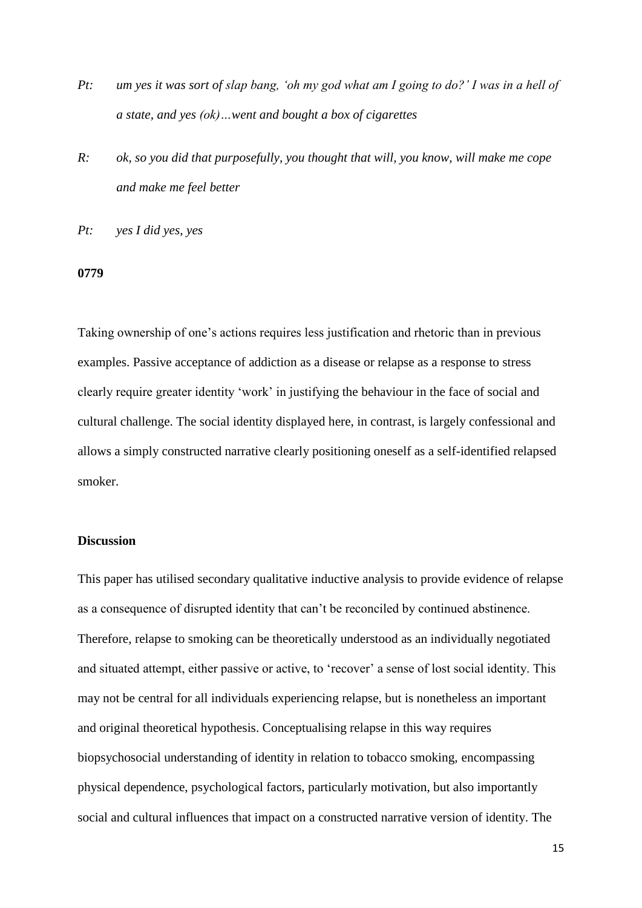- *Pt: um yes it was sort of slap bang, 'oh my god what am I going to do?' I was in a hell of a state, and yes (ok)…went and bought a box of cigarettes*
- *R: ok, so you did that purposefully, you thought that will, you know, will make me cope and make me feel better*
- *Pt: yes I did yes, yes*

### **0779**

Taking ownership of one's actions requires less justification and rhetoric than in previous examples. Passive acceptance of addiction as a disease or relapse as a response to stress clearly require greater identity 'work' in justifying the behaviour in the face of social and cultural challenge. The social identity displayed here, in contrast, is largely confessional and allows a simply constructed narrative clearly positioning oneself as a self-identified relapsed smoker.

## **Discussion**

This paper has utilised secondary qualitative inductive analysis to provide evidence of relapse as a consequence of disrupted identity that can't be reconciled by continued abstinence. Therefore, relapse to smoking can be theoretically understood as an individually negotiated and situated attempt, either passive or active, to 'recover' a sense of lost social identity. This may not be central for all individuals experiencing relapse, but is nonetheless an important and original theoretical hypothesis. Conceptualising relapse in this way requires biopsychosocial understanding of identity in relation to tobacco smoking, encompassing physical dependence, psychological factors, particularly motivation, but also importantly social and cultural influences that impact on a constructed narrative version of identity. The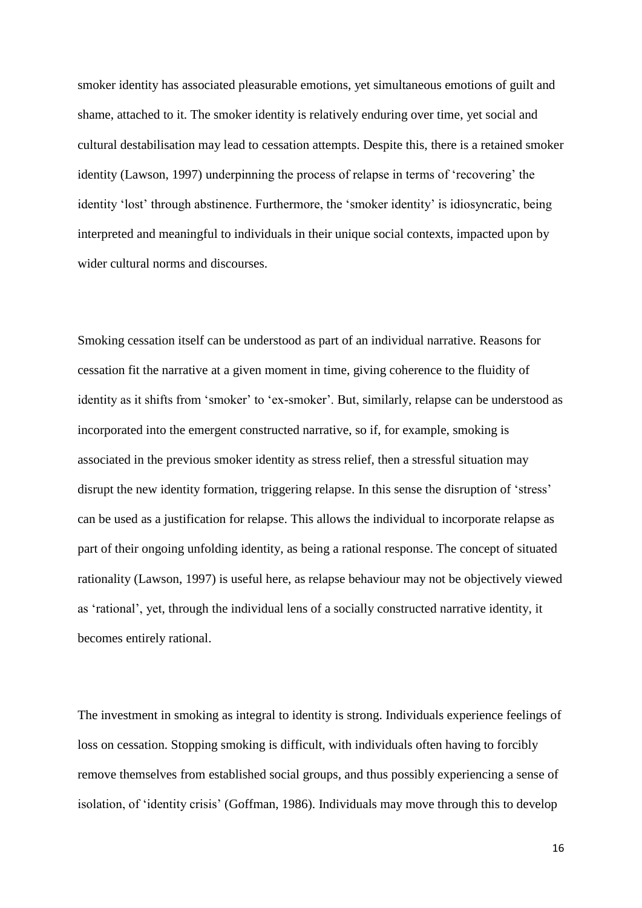smoker identity has associated pleasurable emotions, yet simultaneous emotions of guilt and shame, attached to it. The smoker identity is relatively enduring over time, yet social and cultural destabilisation may lead to cessation attempts. Despite this, there is a retained smoker identity (Lawson, 1997) underpinning the process of relapse in terms of 'recovering' the identity 'lost' through abstinence. Furthermore, the 'smoker identity' is idiosyncratic, being interpreted and meaningful to individuals in their unique social contexts, impacted upon by wider cultural norms and discourses.

Smoking cessation itself can be understood as part of an individual narrative. Reasons for cessation fit the narrative at a given moment in time, giving coherence to the fluidity of identity as it shifts from 'smoker' to 'ex-smoker'. But, similarly, relapse can be understood as incorporated into the emergent constructed narrative, so if, for example, smoking is associated in the previous smoker identity as stress relief, then a stressful situation may disrupt the new identity formation, triggering relapse. In this sense the disruption of 'stress' can be used as a justification for relapse. This allows the individual to incorporate relapse as part of their ongoing unfolding identity, as being a rational response. The concept of situated rationality (Lawson, 1997) is useful here, as relapse behaviour may not be objectively viewed as 'rational', yet, through the individual lens of a socially constructed narrative identity, it becomes entirely rational.

The investment in smoking as integral to identity is strong. Individuals experience feelings of loss on cessation. Stopping smoking is difficult, with individuals often having to forcibly remove themselves from established social groups, and thus possibly experiencing a sense of isolation, of 'identity crisis' (Goffman, 1986). Individuals may move through this to develop

16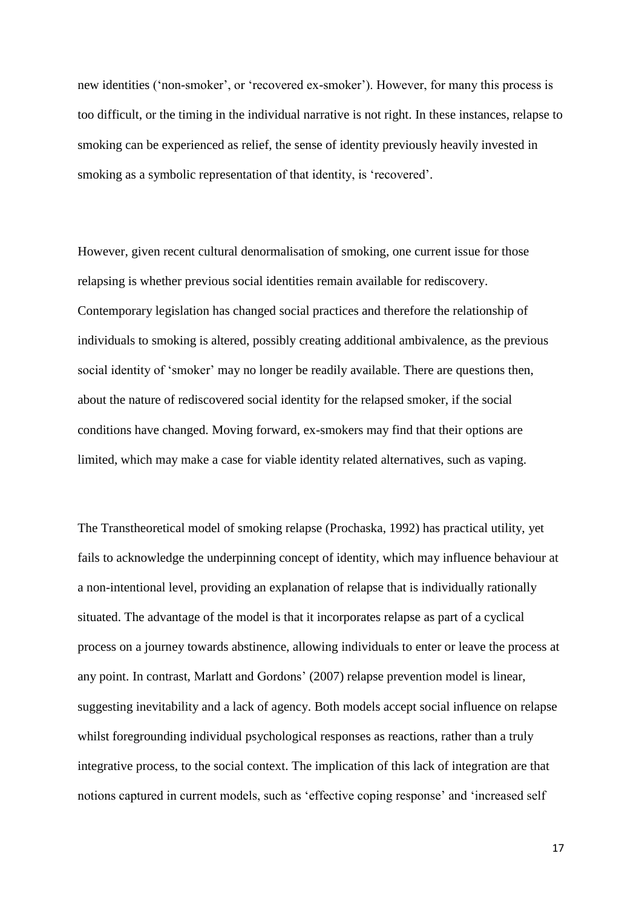new identities ('non-smoker', or 'recovered ex-smoker'). However, for many this process is too difficult, or the timing in the individual narrative is not right. In these instances, relapse to smoking can be experienced as relief, the sense of identity previously heavily invested in smoking as a symbolic representation of that identity, is 'recovered'.

However, given recent cultural denormalisation of smoking, one current issue for those relapsing is whether previous social identities remain available for rediscovery. Contemporary legislation has changed social practices and therefore the relationship of individuals to smoking is altered, possibly creating additional ambivalence, as the previous social identity of 'smoker' may no longer be readily available. There are questions then, about the nature of rediscovered social identity for the relapsed smoker, if the social conditions have changed. Moving forward, ex-smokers may find that their options are limited, which may make a case for viable identity related alternatives, such as vaping.

The Transtheoretical model of smoking relapse (Prochaska, 1992) has practical utility, yet fails to acknowledge the underpinning concept of identity, which may influence behaviour at a non-intentional level, providing an explanation of relapse that is individually rationally situated. The advantage of the model is that it incorporates relapse as part of a cyclical process on a journey towards abstinence, allowing individuals to enter or leave the process at any point. In contrast, Marlatt and Gordons' (2007) relapse prevention model is linear, suggesting inevitability and a lack of agency. Both models accept social influence on relapse whilst foregrounding individual psychological responses as reactions, rather than a truly integrative process, to the social context. The implication of this lack of integration are that notions captured in current models, such as 'effective coping response' and 'increased self

17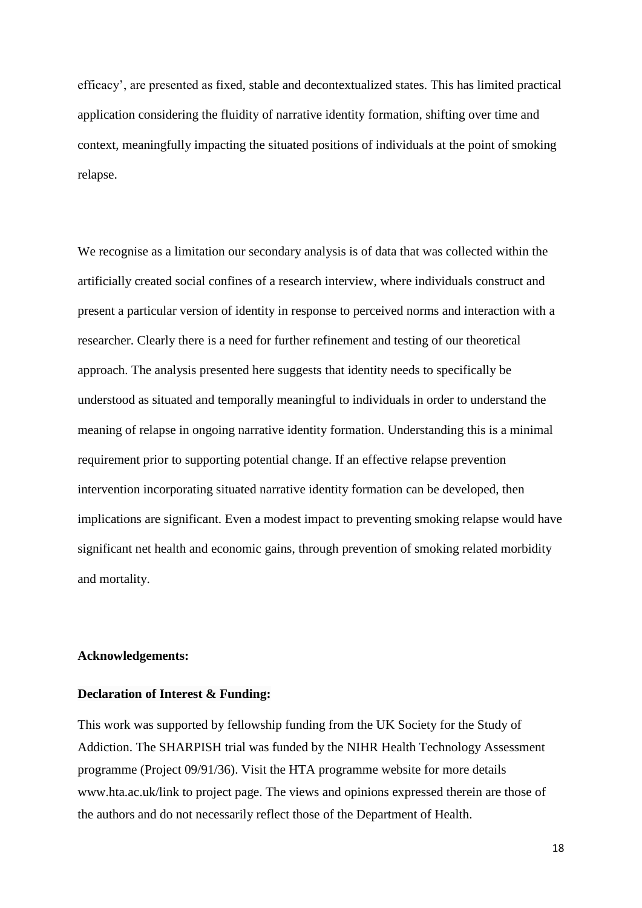efficacy', are presented as fixed, stable and decontextualized states. This has limited practical application considering the fluidity of narrative identity formation, shifting over time and context, meaningfully impacting the situated positions of individuals at the point of smoking relapse.

We recognise as a limitation our secondary analysis is of data that was collected within the artificially created social confines of a research interview, where individuals construct and present a particular version of identity in response to perceived norms and interaction with a researcher. Clearly there is a need for further refinement and testing of our theoretical approach. The analysis presented here suggests that identity needs to specifically be understood as situated and temporally meaningful to individuals in order to understand the meaning of relapse in ongoing narrative identity formation. Understanding this is a minimal requirement prior to supporting potential change. If an effective relapse prevention intervention incorporating situated narrative identity formation can be developed, then implications are significant. Even a modest impact to preventing smoking relapse would have significant net health and economic gains, through prevention of smoking related morbidity and mortality.

#### **Acknowledgements:**

## **Declaration of Interest & Funding:**

This work was supported by fellowship funding from the UK Society for the Study of Addiction. The SHARPISH trial was funded by the NIHR Health Technology Assessment programme (Project 09/91/36). Visit the HTA programme website for more details www.hta.ac.uk/link to project page. The views and opinions expressed therein are those of the authors and do not necessarily reflect those of the Department of Health.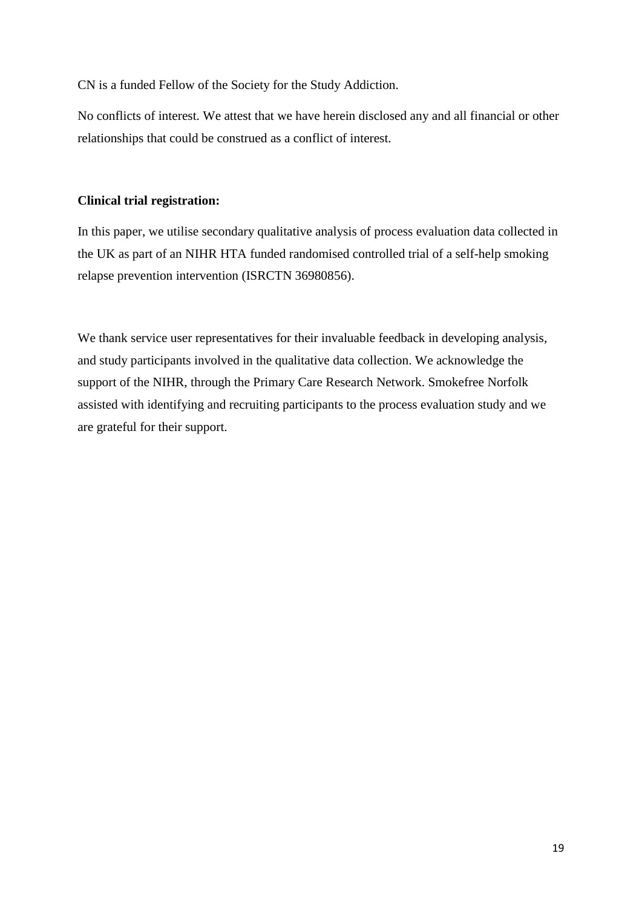CN is a funded Fellow of the Society for the Study Addiction.

No conflicts of interest. We attest that we have herein disclosed any and all financial or other relationships that could be construed as a conflict of interest.

# **Clinical trial registration:**

In this paper, we utilise secondary qualitative analysis of process evaluation data collected in the UK as part of an NIHR HTA funded randomised controlled trial of a self-help smoking relapse prevention intervention (ISRCTN 36980856).

We thank service user representatives for their invaluable feedback in developing analysis, and study participants involved in the qualitative data collection. We acknowledge the support of the NIHR, through the Primary Care Research Network. Smokefree Norfolk assisted with identifying and recruiting participants to the process evaluation study and we are grateful for their support.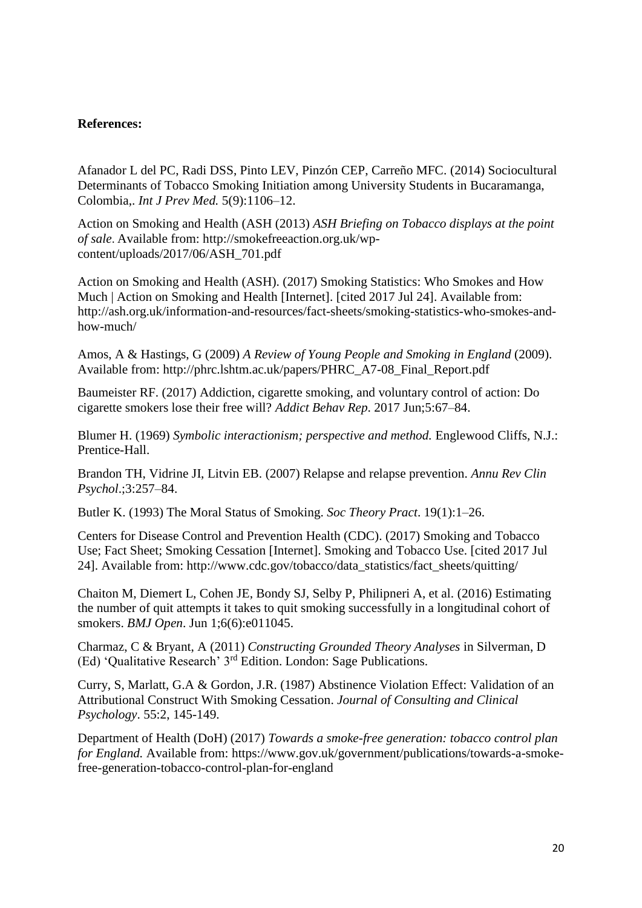## **References:**

Afanador L del PC, Radi DSS, Pinto LEV, Pinzón CEP, Carreño MFC. (2014) Sociocultural Determinants of Tobacco Smoking Initiation among University Students in Bucaramanga, Colombia,. *Int J Prev Med.* 5(9):1106–12.

Action on Smoking and Health (ASH (2013) *ASH Briefing on Tobacco displays at the point of sale*. Available from: http://smokefreeaction.org.uk/wpcontent/uploads/2017/06/ASH\_701.pdf

Action on Smoking and Health (ASH). (2017) Smoking Statistics: Who Smokes and How Much | Action on Smoking and Health [Internet]. [cited 2017 Jul 24]. Available from: http://ash.org.uk/information-and-resources/fact-sheets/smoking-statistics-who-smokes-andhow-much/

Amos, A & Hastings, G (2009) *A Review of Young People and Smoking in England* (2009). Available from: http://phrc.lshtm.ac.uk/papers/PHRC\_A7-08\_Final\_Report.pdf

Baumeister RF. (2017) Addiction, cigarette smoking, and voluntary control of action: Do cigarette smokers lose their free will? *Addict Behav Rep*. 2017 Jun;5:67–84.

Blumer H. (1969) *Symbolic interactionism; perspective and method.* Englewood Cliffs, N.J.: Prentice-Hall.

Brandon TH, Vidrine JI, Litvin EB. (2007) Relapse and relapse prevention. *Annu Rev Clin Psychol*.;3:257–84.

Butler K. (1993) The Moral Status of Smoking. *Soc Theory Pract*. 19(1):1–26.

Centers for Disease Control and Prevention Health (CDC). (2017) Smoking and Tobacco Use; Fact Sheet; Smoking Cessation [Internet]. Smoking and Tobacco Use. [cited 2017 Jul 24]. Available from: http://www.cdc.gov/tobacco/data\_statistics/fact\_sheets/quitting/

Chaiton M, Diemert L, Cohen JE, Bondy SJ, Selby P, Philipneri A, et al. (2016) Estimating the number of quit attempts it takes to quit smoking successfully in a longitudinal cohort of smokers. *BMJ Open*. Jun 1;6(6):e011045.

Charmaz, C & Bryant, A (2011) *Constructing Grounded Theory Analyses* in Silverman, D (Ed) 'Qualitative Research' 3rd Edition. London: Sage Publications.

Curry, S, Marlatt, G.A & Gordon, J.R. (1987) Abstinence Violation Effect: Validation of an Attributional Construct With Smoking Cessation. *Journal of Consulting and Clinical Psychology*. 55:2, 145-149.

Department of Health (DoH) (2017) *Towards a smoke-free generation: tobacco control plan for England.* Available from: https://www.gov.uk/government/publications/towards-a-smokefree-generation-tobacco-control-plan-for-england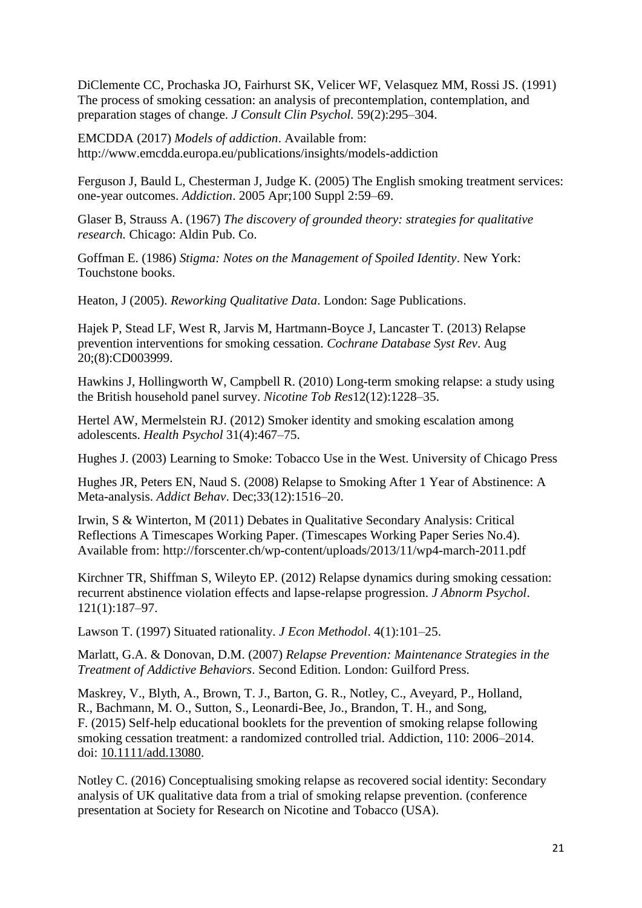DiClemente CC, Prochaska JO, Fairhurst SK, Velicer WF, Velasquez MM, Rossi JS. (1991) The process of smoking cessation: an analysis of precontemplation, contemplation, and preparation stages of change. *J Consult Clin Psychol.* 59(2):295–304.

EMCDDA (2017) *Models of addiction*. Available from: http://www.emcdda.europa.eu/publications/insights/models-addiction

Ferguson J, Bauld L, Chesterman J, Judge K. (2005) The English smoking treatment services: one-year outcomes. *Addiction*. 2005 Apr;100 Suppl 2:59–69.

Glaser B, Strauss A. (1967) *The discovery of grounded theory: strategies for qualitative research.* Chicago: Aldin Pub. Co.

Goffman E. (1986) *Stigma: Notes on the Management of Spoiled Identity*. New York: Touchstone books.

Heaton, J (2005). *Reworking Qualitative Data*. London: Sage Publications.

Hajek P, Stead LF, West R, Jarvis M, Hartmann-Boyce J, Lancaster T. (2013) Relapse prevention interventions for smoking cessation. *Cochrane Database Syst Rev*. Aug 20;(8):CD003999.

Hawkins J, Hollingworth W, Campbell R. (2010) Long-term smoking relapse: a study using the British household panel survey. *Nicotine Tob Res*12(12):1228–35.

Hertel AW, Mermelstein RJ. (2012) Smoker identity and smoking escalation among adolescents. *Health Psychol* 31(4):467–75.

Hughes J. (2003) Learning to Smoke: Tobacco Use in the West. University of Chicago Press

Hughes JR, Peters EN, Naud S. (2008) Relapse to Smoking After 1 Year of Abstinence: A Meta-analysis. *Addict Behav*. Dec;33(12):1516–20.

Irwin, S & Winterton, M (2011) Debates in Qualitative Secondary Analysis: Critical Reflections A Timescapes Working Paper. (Timescapes Working Paper Series No.4). Available from: http://forscenter.ch/wp-content/uploads/2013/11/wp4-march-2011.pdf

Kirchner TR, Shiffman S, Wileyto EP. (2012) Relapse dynamics during smoking cessation: recurrent abstinence violation effects and lapse-relapse progression. *J Abnorm Psychol*. 121(1):187–97.

Lawson T. (1997) Situated rationality. *J Econ Methodol*. 4(1):101–25.

Marlatt, G.A. & Donovan, D.M. (2007) *Relapse Prevention: Maintenance Strategies in the Treatment of Addictive Behaviors*. Second Edition. London: Guilford Press.

Maskrey, V., Blyth, A., Brown, T. J., Barton, G. R., Notley, C., Aveyard, P., Holland, R., Bachmann, M. O., Sutton, S., Leonardi-Bee, Jo., Brandon, T. H., and Song, F. (2015) Self-help educational booklets for the prevention of smoking relapse following smoking cessation treatment: a randomized controlled trial. Addiction, 110: 2006–2014. doi: [10.1111/add.13080.](http://dx.doi.org/10.1111/add.13080)

Notley C. (2016) Conceptualising smoking relapse as recovered social identity: Secondary analysis of UK qualitative data from a trial of smoking relapse prevention. (conference presentation at Society for Research on Nicotine and Tobacco (USA).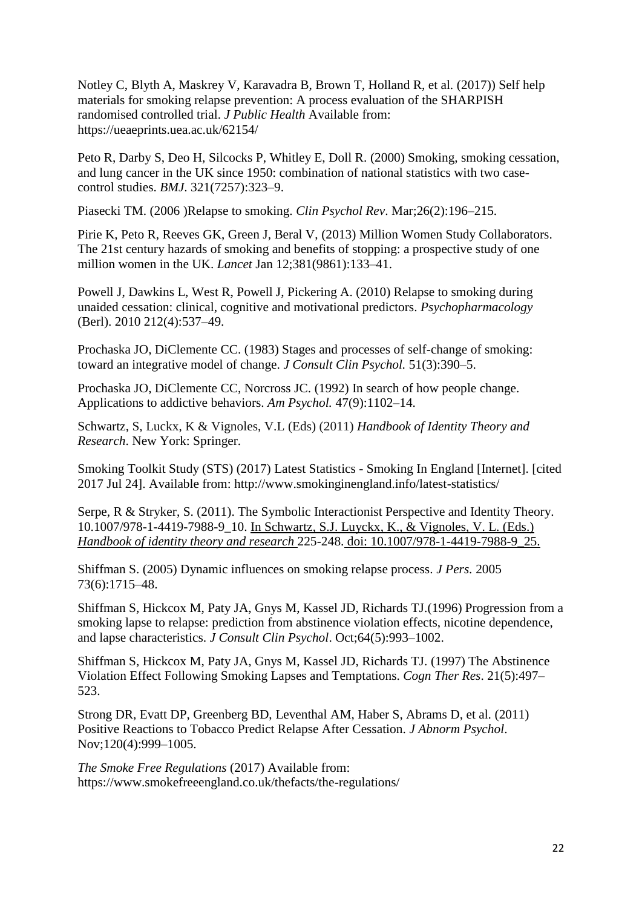Notley C, Blyth A, Maskrey V, Karavadra B, Brown T, Holland R, et al. (2017)) Self help materials for smoking relapse prevention: A process evaluation of the SHARPISH randomised controlled trial. *J Public Health* Available from: https://ueaeprints.uea.ac.uk/62154/

Peto R, Darby S, Deo H, Silcocks P, Whitley E, Doll R. (2000) Smoking, smoking cessation, and lung cancer in the UK since 1950: combination of national statistics with two casecontrol studies. *BMJ*. 321(7257):323–9.

Piasecki TM. (2006 )Relapse to smoking. *Clin Psychol Rev*. Mar;26(2):196–215.

Pirie K, Peto R, Reeves GK, Green J, Beral V, (2013) Million Women Study Collaborators. The 21st century hazards of smoking and benefits of stopping: a prospective study of one million women in the UK. *Lancet* Jan 12;381(9861):133–41.

Powell J, Dawkins L, West R, Powell J, Pickering A. (2010) Relapse to smoking during unaided cessation: clinical, cognitive and motivational predictors. *Psychopharmacology*  (Berl). 2010 212(4):537–49.

Prochaska JO, DiClemente CC. (1983) Stages and processes of self-change of smoking: toward an integrative model of change. *J Consult Clin Psychol.* 51(3):390–5.

Prochaska JO, DiClemente CC, Norcross JC. (1992) In search of how people change. Applications to addictive behaviors. *Am Psychol.* 47(9):1102–14.

[Schwartz,](https://www.amazon.com/s/ref=dp_byline_sr_book_1?ie=UTF8&text=Seth+J.+Schwartz&search-alias=books&field-author=Seth+J.+Schwartz&sort=relevancerank) S, Luckx, K & Vignoles, V.L (Eds) (2011) *Handbook of Identity Theory and Research*. New York: Springer.

Smoking Toolkit Study (STS) (2017) Latest Statistics - Smoking In England [Internet]. [cited 2017 Jul 24]. Available from: http://www.smokinginengland.info/latest-statistics/

Serpe, R & Stryker, S. (2011). The Symbolic Interactionist Perspective and Identity Theory. 10.1007/978-1-4419-7988-9\_10. In [Schwartz,](https://www.researchgate.net/publication/261707721_Bussey_K_2011_Gender_identity_development_In_SJ_Schwartz_Luyckx_K_Vignoles_V_L_Eds_Handbook_of_identity_theory_and_research_603-628_Springer_doi_101007978-1-4419-7988-9_25) S.J. Luyckx, K., & Vignoles, V. L. (Eds.) *Handbook of identity theory and research* 225-248. doi: [10.1007/978-1-4419-7988-9\\_25.](https://www.researchgate.net/publication/261707721_Bussey_K_2011_Gender_identity_development_In_SJ_Schwartz_Luyckx_K_Vignoles_V_L_Eds_Handbook_of_identity_theory_and_research_603-628_Springer_doi_101007978-1-4419-7988-9_25)

Shiffman S. (2005) Dynamic influences on smoking relapse process. *J Pers.* 2005 73(6):1715–48.

Shiffman S, Hickcox M, Paty JA, Gnys M, Kassel JD, Richards TJ.(1996) Progression from a smoking lapse to relapse: prediction from abstinence violation effects, nicotine dependence, and lapse characteristics. *J Consult Clin Psychol*. Oct;64(5):993–1002.

Shiffman S, Hickcox M, Paty JA, Gnys M, Kassel JD, Richards TJ. (1997) The Abstinence Violation Effect Following Smoking Lapses and Temptations. *Cogn Ther Res*. 21(5):497– 523.

Strong DR, Evatt DP, Greenberg BD, Leventhal AM, Haber S, Abrams D, et al. (2011) Positive Reactions to Tobacco Predict Relapse After Cessation. *J Abnorm Psychol*. Nov;120(4):999–1005.

*The Smoke Free Regulations* (2017) Available from: https://www.smokefreeengland.co.uk/thefacts/the-regulations/